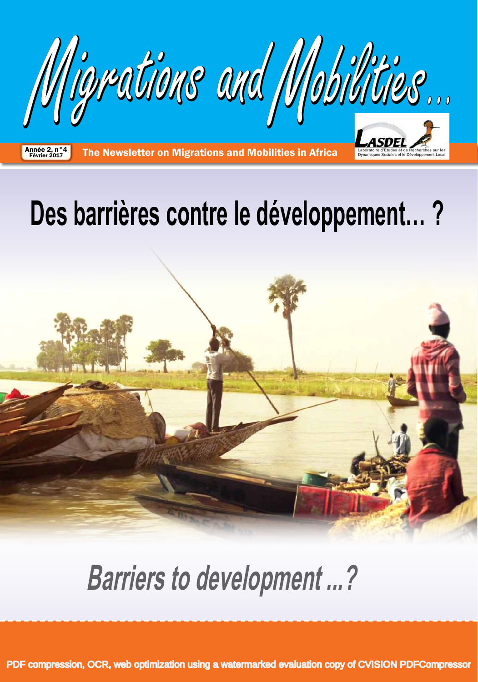

Année 2, n°4 **Ine Newsletter on Migrations and Mobilities in Africa** Boratoire d'Etudes et de Recherches sur les

# **Des barrières contre le développement… ?**



# **Barriers to development ...?**

[PDF compression, OCR, web optimization using a watermarked evaluation copy of CVISION PDFCompressor](http://www.cvisiontech.com)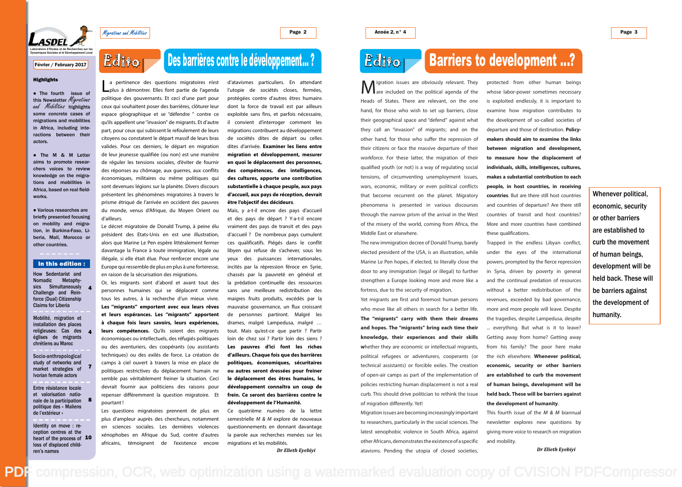Page 2

• The fourth issue of<br>this Newsletter *Migrations* and Mobilities highlights some concrete cases of migrations and mobilities in Africa, including interactions between their actors.

• The M & M Letter aims to promote researchers voices to review knowledge on the migrations and mobilities in Africa, based on real fieldworks.

• Various researches are briefly presented focusing on mobility and migration, in Burkina-Faso, Liberia, Mali, Morocco or other countries.

Mobilité, migration et installation des places religieuses: Cas des églises de migrants chrétiens au Maroc

How Sedentarist and Nomadic Metaphysics Simultaneously Challenge and Reinforce (Dual) Citizenship Claims for Liberia 4

Socio-anthropological study of networks and market strategies of Ivorian female actors

Entre résistance locale et valorisation nationale de la participation politique des « Maliens de l'extérieur » 8

Identity on move : reception centres at the heart of the process of 10 loss of displaced children's names

a pertinence des questions migratoires n'est<br>
plus à démontrer. Elles font partie de l'agenda<br>
politique des gouvernants. Et ceci d'une part pour plus à démontrer. Elles font partie de l'agenda ceux qui souhaitent poser des barrières, clôturer leur espace géographique et se ''défendre '' contre ce qu'ils appellent une ''invasion'' de migrants. Et d'autre part, pour ceux qui subissent le refoulement de leurs citoyens ou constatent le départ massif de leurs bras valides. Pour ces derniers, le départ en migration de leur jeunesse qualifiée (ou non) est une manière de réguler les tensions sociales, d'éviter de fournir des réponses au chômage, aux guerres, aux conflits économiques, militaires ou même politiques qui sont devenues légions sur la planète. Divers discours présentent les phénomènes migratoires à travers le prisme étriqué de l'arrivée en occident des pauvres du monde, venus d'Afrique, du Moyen Orient ou d'ailleurs.

4

7





Migrations and Mobilities

#### **Highlights**

Le décret migratoire de Donald Trump, à peine élu président des Etats-Unis en est une illustration, alors que Marine Le Pen espère littéralement fermer davantage la France à toute immigration, légale ou illégale, si elle était élue. Pour renforcer encore une Europe qui ressemble de plus en plus à une forteresse, en raison de la sécurisation des migrations.

Or, les migrants sont d'abord et avant tout des personnes humaines qui se déplacent comme tous les autres, à la recherche d'un mieux vivre. **Les ''migrants'' emportent avec eux leurs rêves et leurs espérances. Les ''migrants'' apportent à chaque fois leurs savoirs, leurs expériences,**  leurs compétences. Qu'ils soient des migrants économiques ou intellectuels, des réfugiés politiques ou des aventuriers, des coopérants (ou assistants techniques) ou des exilés de force. La création de camps à ciel ouvert à travers la mise en place de politiques restrictives du déplacement humain ne semble pas véritablement freiner la situation. Ceci devrait fournir aux politiciens des raisons pour repenser différemment la question migratoire. Et pourtant !

**M** igration issues are obviously relevant. They<br>are included on the political agenda of the<br>Heads of States. There are relevant, on the one are included on the political agenda of the Heads of States. There are relevant, on the one hand, for those who wish to set up barriers, close their geographical space and "defend" against what they call an "invasion" of migrants; and on the other hand, for those who suffer the repression of their citizens or face the massive departure of their workforce. For these latter, the migration of their qualified youth (or not) is a way of regulating social tensions, of circumventing unemployment issues, wars, economic, military or even political conflicts that become recurrent on the planet. Migratory phenomena is presented in various discourses through the narrow prism of the arrival in the West of the misery of the world, coming from Africa, the Middle East or elsewhere.

Les questions migratoires prennent de plus en plus d'ampleur auprès des chercheurs, notamment en sciences sociales. Les dernières violences xénophobes en Afrique du Sud, contre d'autres africains, témoignent de l'existence encore d'atavismes particuliers. En attendant l'utopie de sociétés closes, fermées, protégées contre d'autres êtres humains dont la force de travail est par ailleurs exploitée sans fins, et parfois nécessaire, il convient d'interroger comment les migrations contribuent au développement de sociétés dites de départ ou celles dites d'arrivée. **Examiner les liens entre migration et développement, mesurer en quoi le déplacement des personnes, des compétences, des intelligences, des cultures, apporte une contribution substantielle à chaque peuple, aux pays d'accueil, aux pays de réception, devrait être l'objectif des décideurs**.

> This fourth issue of the  $M \& M$  biannual newsletter explores new questions by giving more voice to research on migration

Mais, y a-t-il encore des pays d'accueil et des pays de départ ? Y-a-t-il encore vraiment des pays de transit et des pays d'accueil ? De nombreux pays cumulent ces qualificatifs. Piégés dans le conflit libyen qui refuse de s'achever, sous les yeux des puissances internationales, incités par la répression féroce en Syrie, chassés par la pauvreté en général et la prédation continuelle des ressources sans une meilleure redistribution des maigres fruits produits, excédés par la mauvaise gouvernance, un flux croissant de personnes partiront. Malgré les drames, malgré Lampedusa, malgré … tout. Mais qu'est-ce que partir ? Partir loin de chez soi ? Partir loin des siens ? **Les pauvres d'ici font les riches d'ailleurs. Chaque fois que des barrières politiques, économiques, sécuritaires ou autres seront dressées pour freiner le déplacement des êtres humains, le développement connaîtra un coup de frein. Ce seront des barrières contre le développement de l'Humanité.** 

Ce quatrième numéro de la lettre semestrielle M & M explore de nouveaux questionnements en donnant davantage la parole aux recherches menées sur les migrations et les mobilités.

#### In this edition :

## Des barrières contre le développement… ?

*Dr Elieth Eyebiyi*

## **Edito**

The new immigration decree of Donald Trump, barely elected president of the USA, is an illustration, while Marine Le Pen hopes, if elected, to literally close the door to any immigration (legal or illegal) to further strengthen a Europe looking more and more like a fortress, due to the security of migration.

Yet migrants are first and foremost human persons who move like all others in search for a better life. **The "migrants" carry with them their dreams and hopes. The "migrants" bring each time their knowledge, their experiences and their skills w**hether they are economic or intellectual migrants, political refugees or adventurers, cooperants (or technical assistants) or forcible exiles. The creation of open-air camps as part of the implementation of policies restricting human displacement is not a real curb. This should drive politician to rethink the issue of migration differently. Yet!

Migration issues are becoming increasingly important to researchers, particularly in the social sciences. The latest xenophobic violence in South Africa, against other Africans, demonstrates the existence of a specific atavisms. Pending the utopia of closed societies,

protected from other human beings whose labor-power sometimes necessary is exploited endlessly, it is important to examine how migration contributes to the development of so-called societies of departure and those of destination. **Policymakers should aim to examine the links between migration and development, to measure how the displacement of individuals, skills, intelligences, cultures, makes a substantial contribution to each people, in host countries, in receiving countries**. But are there still host countries and countries of departure? Are there still countries of transit and host countries? More and more countries have combined

Trapped in the endless Libyan conflict, under the eyes of the international powers, prompted by the fierce repression in Syria, driven by poverty in general and the continual predation of resources without a better redistribution of the revenues, exceeded by bad governance, more and more people will leave. Despite the tragedies, despite Lampedusa, despite ... everything. But what is it to leave? Getting away from home? Getting away from his family? The poor here make the rich elsewhere. **Whenever political, economic, security or other barriers are established to curb the movement of human beings, development will be held back. These will be barriers against the development of humanity**.

these qualifications. and mobility.

[PDF compression, OCR, web optimization using a watermarked evaluation copy of CVISION PDFCompressor](http://www.cvisiontech.com)

## **Barriers to development ...?**

Whenever political, economic, security or other barriers are established to curb the movement of human beings, development will be held back. These will be barriers against the development of humanity.

*Dr Elieth Eyebiyi*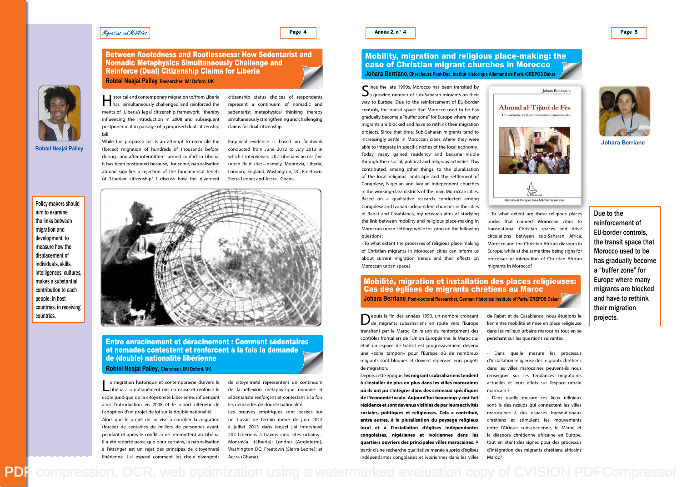#### Migrations and Mobilities

#### Page 4

Policy-makers should aim to examine the links between migration and development, to measure how the displacement of individuals, skills, makes a substantial contribution to each

Johara BERRIANE

Ahmad al-Tijânî de Fès Un sanctuaire soufi aux

Histoire et Perspectives Méditerranéennes

intelligences, cultures, people, in host countries, in receiving countries.

Interior istorical and contemporary migration to/from Liberia<br>has simultaneously challenged and reinforced the<br>merits of Liberia's legal citizenship framework, thereby has simultaneously challenged and reinforced the merits of Liberia's legal citizenship framework, thereby influencing the introduction in 2008 and subsequent postponement in passage of a proposed dual citizenship bill. While the proposed bill is an attempt to reconcile the

(forced) migration of hundreds of thousands before, during, and after intermittent armed conflict in Liberia,

La migration historique et contemporaine du/vers le cadre juridique de la citoyenneté Libérienne, influençant Libéria a simultanément mis en cause et renforcé le ainsi l'introduction en 2008 et le report ultérieur de l'adoption d'un projet de loi sur la double nationalité. Alors que le projet de loi vise à concilier la migration (forcée) de centaines de milliers de personnes avant, pendant et après le conflit armé intermittent au Libéria, il a été reporté parce que pour certains, la naturalisation à l'étranger est un rejet des principes de citoyenneté libérienne. J'ai exposé comment les choix divergents



Between Rootedness and Rootlessness: How Sedentarist and

Nomadic Metaphysics Simultaneously Challenge and

Reinforce (Dual) Citizenship Claims for Liberia

**Robtel Neajai Pailey, Researcher, IMI Oxford, UK**

citizenship status choices of respondents represent a continuum of nomadic and sedentarist metaphysical thinking thereby simultaneously strengthening and challenging claims for dual citizenship.

Since the late 1990s, Morocco has been transited by  $\sum a$  growing number of sub-Saharan migrants on their way to Europe. Due to the reinforcement of EU-border a growing number of sub-Saharan migrants on their way to Europe. Due to the reinforcement of EU-border controls, the transit space that Morocco used to be has gradually become a "buffer zone" for Europe where many migrants are blocked and have to rethink their migration projects. Since that time, Sub-Saharan migrants tend to increasingly settle in Moroccan cities where they were able to integrate in specific niches of the local economy. Today, many gained residency and became visible through their social, political and religious activities. This contributed, among other things, to the pluralisation of the local religious landscape and the settlement of Congolese, Nigerian and Ivorian independent churches in the working-class districts of the main Moroccan cities. Based on a qualitative research conducted among Congolese and Ivorian independent churches in the cities of Rabat and Casablanca, my research aims at studying the link between mobility and religious place-making in Moroccan urban settings while focusing on the following questions:

Empirical evidence is based on fieldwork conducted from June 2012 to July 2013 in which I interviewed 202 Liberians across five urban field sites—namely, Monrovia, Liberia; London, England; Washington, DC; Freetown,

de citoyenneté représentent un continuum de la réflexion métaphysique nomade et sédentariste renforçant et contestant à la fois les demandes de double nationalité.

Les preuves empiriques sont basées sur un travail de terrain mené de juin 2012 à juillet 2013 dans lequel j'ai interviewé 202 Libériens à travers cinq sites urbains : Monrovia (Liberia); Londres (Angleterre); Washington DC; Freetown (Sierra Leone); et Accra (Ghana).

[PDF compression, OCR, web optimization using a watermarked evaluation copy of CVISION PDFCompressor](http://www.cvisiontech.com)



Depuis la fin des années 1990, un nombre croissant<br>de migrants subsahariens en route vers l'Europe<br>transitent par le Maroc. En raison du renforcement des transitent par le Maroc. En raison du renforcement des contrôles frontaliers de l'Union Européenne, le Maroc qui était un espace de transit est progressivement devenu une «zone tampon» pour l'Europe où de nombreux migrants sont bloqués et doivent repenser leurs projets de migration.

Entre enracinement et déracinement : Comment sédentaires et nomades contestent et renforcent à la fois la demande de (double) nationalité libérienne **Robtel Neajai Pailey, Chercheur, IMI Oxford, UK**

**Robtel Neajai Pailey**

Dans quelle mesure les processus d'installation religieuse des migrants chrétiens dans les villes marocaines peuvent-ils nous renseigner sur les tendances migratoires actuelles et leurs effets sur l'espace urbain

Dans quelle mesure ces lieux religieux sont-ils des nœuds qui connectent les villes marocaines à des espaces transnationaux chrétiens et stimulent les mouvements entre l'Afrique subsaharienne, le Maroc et la diaspora chrétienne africaine en Europe, tout en étant des signes pour des processus d'intégration des migrants chrétiens africains

- To what extent the processes of religious place-making of Christian migrants in Moroccan cities can inform us about current migration trends and their effects on Moroccan urban space?

#### Mobility, migration and religious place-making: the case of Christian migrant churches in Morocco **Johara Berriane, Chercheure Post-Doc, Institut Historique Allemand de Paris /CREPOS Dakar**

- To what extent are these religious places nodes that connect Moroccan cities to transnational Christian spaces and drive circulations between sub-Saharan Africa, Morocco and the Christian African diaspora in Europe, while at the same time being signs for processes of integration of Christian African migrants in Morocco?

de migrants subsahariens en route vers l'Europe

Depuis cette époque, **les migrants subsahariens tendent à s'installer de plus en plus dans les villes marocaines où ils ont pu s'intégrer dans des créneaux spécifiques de l'économie locale. Aujourd'hui beaucoup y ont fait résidence et sont devenus visibles de par leurs activités sociales, politiques et religieuses. Cela a contribué, entre autres, à la pluralisation du paysage religieux local et à l'installation d'églises indépendantes congolaises, nigérianes et ivoiriennes dans les quartiers ouvriers des principales villes marocaines**. À partir d'une recherche qualitative menée auprès d'églises indépendantes congolaises et ivoiriennes dans les villes



### Mobilité, migration et installation des places religieuses: Cas des églises de migrants chrétiens au Maroc **Johara Berriane, Post-doctoral Researcher, German Historical Institute of Paris/ CREPOS Dakar**

de Rabat et de Casablanca, nous étudions le lien entre mobilité et mise en place religieuse dans les milieux urbains marocains tout en se penchant sur les questions suivantes :

marocain ?

Maroc?

**Johara Berriane**

Due to the reinforcement of EU-border controls, the transit space that Morocco used to be has gradually become a "buffer zone" for Europe where many migrants are blocked and have to rethink their migration projects.

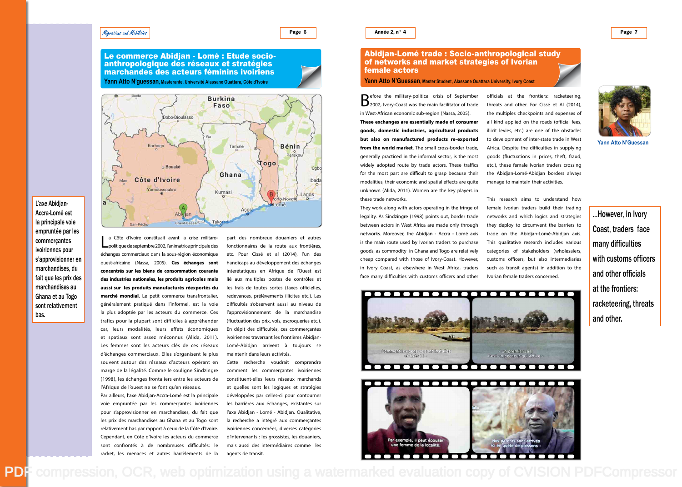

Page 6

 $L$ a Côte d'Ivoire constituait avant la crise militaropolitique de septembre 2002, l'animatrice principale des échanges commerciaux dans la sous-région économique ouest-africaine (Nassa, 2005). **Ces échanges sont concentrés sur les biens de consommation courante des industries nationales, les produits agricoles mais aussi sur les produits manufacturés réexportés du marché mondial**. Le petit commerce transfrontalier, généralement pratiqué dans l'informel, est la voie la plus adoptée par les acteurs du commerce. Ces trafics pour la plupart sont difficiles à appréhender car, leurs modalités, leurs effets économiques et spatiaux sont assez méconnus (Alida, 2011). Les femmes sont les acteurs clés de ces réseaux d'échanges commerciaux. Elles s'organisent le plus souvent autour des réseaux d'acteurs opérant en marge de la légalité. Comme le souligne Sindzingre (1998), les échanges frontaliers entre les acteurs de l'Afrique de l'ouest ne se font qu'en réseaux.

Par ailleurs, l'axe Abidjan-Accra-Lomé est la principale voie empruntée par les commerçantes ivoiriennes pour s'approvisionner en marchandises, du fait que les prix des marchandises au Ghana et au Togo sont relativement bas par rapport à ceux de la Côte d'Ivoire. Cependant, en Côte d'Ivoire les acteurs du commerce sont confrontés à de nombreuses difficultés: le racket, les menaces et autres harcèlements de la

Le commerce Abidjan - Lomé : Etude socioanthropologique des réseaux et stratégies marchandes des acteurs féminins ivoiriens **Yann Atto N'guessan, Masterante, Université Alassane Ouattara, Côte d'Ivoire**



 $\bigcap$  efore the military-political crisis of September  $\Box$  2002, Ivory-Coast was the main facilitator of trade in West-African economic sub-region (Nassa, 2005).

part des nombreux douaniers et autres fonctionnaires de la route aux frontières, etc. Pour Cissé et al (2014), l'un des handicaps au développement des échanges interétatiques en Afrique de l'Ouest est lié aux multiples postes de contrôles et les frais de toutes sortes (taxes officielles, redevances, prélèvements illicites etc.). Les difficultés s'observent aussi au niveau de l'approvisionnement de la marchandise (fluctuation des prix, vols, escroqueries etc.). En dépit des difficultés, ces commerçantes ivoiriennes traversant les frontières Abidjan-Lomé-Abidjan arrivent à toujours se maintenir dans leurs activités.

Cette recherche voudrait comprendre comment les commerçantes ivoiriennes constituent-elles leurs réseaux marchands et quelles sont les logiques et stratégies développées par celles-ci pour contourner les barrières aux échanges, existantes sur l'axe Abidjan - Lomé - Abidjan. Qualitative, la recherche a intégré aux commerçantes ivoiriennes concernées, diverses catégories d'intervenants : les grossistes, les douaniers, mais aussi des intermédiaires comme les agents de transit.

[PDF compression, OCR, web optimization using a watermarked evaluation copy of CVISION PDFCompressor](http://www.cvisiontech.com)

L'axe Abidjan-Accra-Lomé est la principale voie empruntée par les commerçantes ivoiriennes pour s'approvisionner en marchandises, du fait que les prix des marchandises au Ghana et au Togo sont relativement bas.

**These exchanges are essentially made of consumer goods, domestic industries, agricultural products but also on manufactured products re-exported from the world market**. The small cross-border trade, generally practiced in the informal sector, is the most widely adopted route by trade actors. These traffics for the most part are difficult to grasp because their modalities, their economic and spatial effects are quite unknown (Alida, 2011). Women are the key players in these trade networks.

They work along with actors operating in the fringe of legality. As Sindzingre (1998) points out, border trade between actors in West Africa are made only through networks. Moreover, the Abidjan - Accra - Lomé axis is the main route used by Ivorian traders to purchase goods, as commodity in Ghana and Togo are relatively cheap compared with those of Ivory-Coast. However, in Ivory Coast, as elsewhere in West Africa, traders face many difficulties with customs officers and other



#### Abidjan-Lomé trade : Socio-anthropological study of networks and market strategies of Ivorian female actors

#### **Yann Atto N'Guessan, Master Student, Alassane Ouattara University, Ivory Coast**

officials at the frontiers: racketeering, threats and other. For Cissé et Al (2014), the multiples checkpoints and expenses of all kind applied on the roads (official fees, illicit levies, etc.) are one of the obstacles to development of inter-state trade in West Africa. Despite the difficulties in supplying goods (fluctuations in prices, theft, fraud, etc.), these female Ivorian traders crossing the Abidjan-Lomé-Abidjan borders always manage to maintain their activities.

This research aims to understand how female Ivorian traders build their trading networks and which logics and strategies they deploy to circumvent the barriers to trade on the Abidjan-Lomé-Abidjan axis. This qualitative research includes various categories of stakeholders (wholesalers, customs officers, but also intermediaries such as transit agents) in addition to the Ivorian female traders concerned.



...However, in Ivory Coast, traders face many difficulties with customs officers and other officials at the frontiers: racketeering, threats and other.

**Yann Atto N'Guessan**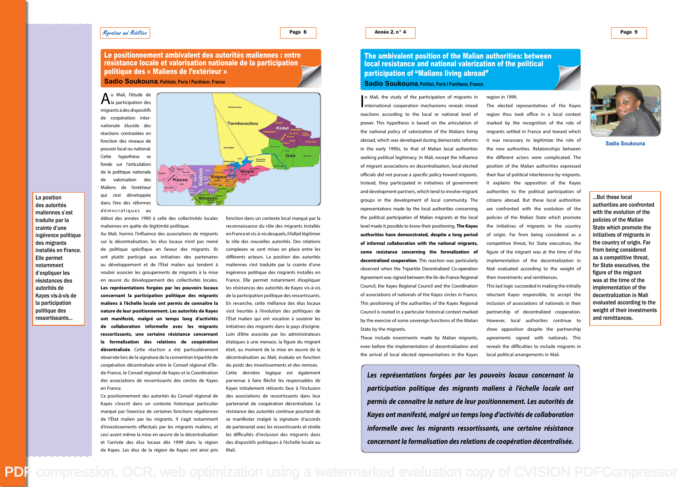#### Migrations and Mobilities

#### Page 8

Le positionnement ambivalent des autorités maliennes : entre résistance locale et valorisation nationale de la participation politique des « Maliens de l'extérieur »

Au Mali, l'étude de<br>ha participation des<br>migrants à des dispositifs la participation des migrants à des dispositifs de coopération internationale élucide des réactions contrastées en fonction des niveaux de

pouvoir local ou national. Cette hypothèse se fonde sur l'articulation de la politique nationale de valorisation des Maliens de l'extérieur qui s'est développée dans l'ère des réformes démocratiques au



**Sadio Soukouna, Politiste, Paris I Panthéon, France**

début des années 1990 à celle des collectivités locales maliennes en quête de légitimité politique.

Au Mali, hormis l'influence des associations de migrants sur la décentralisation, les élus locaux n'ont pas mené de politique spécifique en faveur des migrants. Ils ont plutôt participé aux initiatives des partenaires au développement et de l'État malien qui tendent à vouloir associer les groupements de migrants à la mise en œuvre du développement des collectivités locales. **Les représentations forgées par les pouvoirs locaux concernant la participation politique des migrants maliens à l'échelle locale ont permis de connaitre la nature de leur positionnement. Les autorités de Kayes ont manifesté, malgré un temps long d'activités de collaboration informelle avec les migrants ressortissants, une certaine résistance concernant la formalisation des relations de coopération décentralisée**. Cette réaction a été particulièrement observée lors de la signature de la convention tripartite de coopération décentralisée entre le Conseil régional d'Îlede-France, le Conseil régional de Kayes et la Coordination des associations de ressortissants des cercles de Kayes en France.

Ce positionnement des autorités du Conseil régional de Kayes s'inscrit dans un contexte historique particulier marqué par l'exercice de certaines fonctions régaliennes de l'État malien par les migrants. Il s'agit notamment d'investissements effectués par les migrants maliens, et ceci avant même la mise en œuvre de la décentralisation et l'arrivée des élus locaux dès 1999 dans la région de Kayes. Les élus de la région de Kayes ont ainsi pris

 $\prod_{re}$ n Mali, the study of the participation of migrants in international cooperation mechanisms reveals mixed reactions according to the local or national level of power. This hypothesis is based on the articulation of the national policy of valorization of the Malians living abroad, which was developed during democratic reforms in the early 1990s, to that of Malian local authorities seeking political legitimacy. In Mali, except the influence of migrant associations on decentralization, local elected officials did not pursue a specific policy toward migrants. Instead, they participated in initiatives of government and development partners, which tend to involve migrant groups in the development of local community. The representations made by the local authorities concerning the political participation of Malian migrants at the local level made it possible to know their positioning. **The Kayes authorities have demonstrated, despite a long period of informal collaboration with the national migrants, some resistance concerning the formalization of decentralized cooperation**. This reaction was particularly observed when the Tripartite Decentralized Co-operation Agreement was signed between the Ile-de-France Regional Council, the Kayes Regional Council and the Coordination of associations of nationals of the Kayes circles in France. This positioning of the authorities of the Kayes Regional Council is rooted in a particular historical context marked by the exercise of some sovereign functions of the Malian State by the migrants.

fonction dans un contexte local marqué par la reconnaissance du rôle des migrants installés en France et vis-à-vis desquels, il fallait légitimer le rôle des nouvelles autorités. Des relations complexes se sont mises en place entre les différents acteurs. La position des autorités maliennes s'est traduite par la crainte d'une ingérence politique des migrants installés en France. Elle permet notamment d'expliquer les résistances des autorités de Kayes vis-à-vis de la participation politique des ressortissants. En revanche, cette méfiance des élus locaux s'est heurtée à l'évolution des politiques de l'État malien qui ont vocation à soutenir les initiatives des migrants dans le pays d'origine. Loin d'être associée par les administrateurs étatiques à une menace, la figure du migrant était, au moment de la mise en œuvre de la décentralisation au Mali, évaluée en fonction du poids des investissements et des remises. Cette dernière logique est également parvenue à faire fléchir les responsables de Kayes initialement réticents face à l'inclusion des associations de ressortissants dans leur partenariat de coopération décentralisée. La résistance des autorités continue pourtant de se manifester malgré la signature d'accords de partenariat avec les ressortissants et révèle les difficultés d'inclusion des migrants dans des dispositifs politiques à l'échelle locale au Mali.

La position des autorités maliennes s'est traduite par la crainte d'une ingérence politique des migrants installés en France.

Elle permet notamment d'expliquer les résistances des autorités de Kayes vis-à-vis de la participation politique des ressortissants...

> These include investments made by Malian migrants, even before the implementation of decentralization and the arrival of local elected representatives in the Kayes

region in 1999.

The elected representatives of the Kayes region thus took office in a local context marked by the recognition of the role of migrants settled in France and toward which it was necessary to legitimize the role of the new authorities. Relationships between the different actors were complicated. The position of the Malian authorities expressed their fear of political interference by migrants. It explains the opposition of the Kayes authorities to the political participation of citizens abroad. But these local authorities are confronted with the evolution of the policies of the Malian State which promote the initiatives of migrants in the country of origin. Far from being considered as a competitive threat, for State executives, the figure of the migrant was at the time of the implementation of the decentralization in Mali evaluated according to the weight of their investments and remittances.

This last logic succeeded in making the initially reluctant Kayes responsible, to accept the inclusion of associations of nationals in their partnership of decentralized cooperation. However, local authorities continue to show opposition despite the partnership agreements signed with nationals. This reveals the difficulties to include migrants in local political arrangements in Mali.

### The ambivalent position of the Malian authorities: between local resistance and national valorization of the political participation of "Malians living abroad" **Sadio Soukouna, Politist, Paris I Pantheon, France**

**Sadio Soukouna**

...But these local authorities are confronted with the evolution of the policies of the Malian State which promote the initiatives of migrants in the country of origin. Far from being considered as a competitive threat, for State executives, the figure of the migrant was at the time of the implementation of the decentralization in Mali evaluated according to the weight of their investments and remittances.

**participation politique des migrants maliens à l'échelle locale ont permis de connaitre la nature de leur positionnement. Les autorités de Kayes ont manifesté, malgré un temps long d'activités de collaboration informelle avec les migrants ressortissants, une certaine résistance** 

**Les représentations forgées par les pouvoirs locaux concernant la concernant la formalisation des relations de coopération décentralisée.**



[PDF compression, OCR, web optimization using a watermarked evaluation copy of CVISION PDFCompressor](http://www.cvisiontech.com)